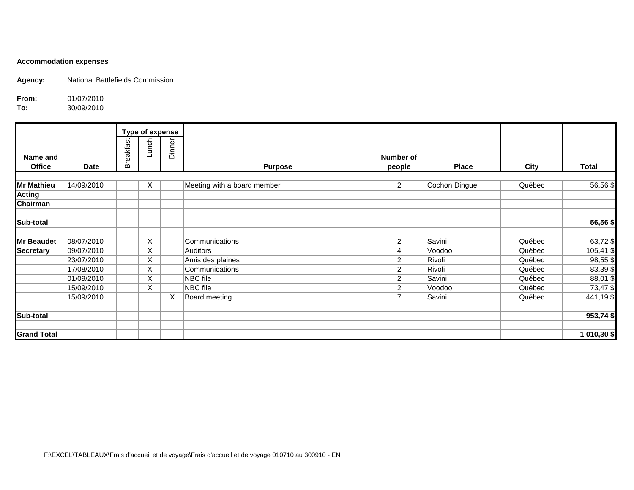## **Accommodation expenses**

**Agency:** National Battlefields Commission

**From:** 01/07/2010<br>**To:** 30/09/2010

**To:** 30/09/2010

|                    |             |                  |       | Type of expense |                             |                |               |        |              |
|--------------------|-------------|------------------|-------|-----------------|-----------------------------|----------------|---------------|--------|--------------|
|                    |             |                  | Lunch |                 |                             |                |               |        |              |
| Name and           |             | <b>Breakfast</b> |       | Dinner          |                             | Number of      |               |        |              |
| <b>Office</b>      | <b>Date</b> |                  |       |                 | <b>Purpose</b>              | people         | <b>Place</b>  | City   | <b>Total</b> |
|                    |             |                  |       |                 |                             |                |               |        |              |
| <b>Mr Mathieu</b>  | 14/09/2010  |                  | X     |                 | Meeting with a board member | $\overline{2}$ | Cochon Dingue | Québec | 56,56 \$     |
| <b>Acting</b>      |             |                  |       |                 |                             |                |               |        |              |
| Chairman           |             |                  |       |                 |                             |                |               |        |              |
| Sub-total          |             |                  |       |                 |                             |                |               |        | 56,56 \$     |
|                    |             |                  |       |                 |                             |                |               |        |              |
| <b>Mr Beaudet</b>  | 08/07/2010  |                  | X.    |                 | Communications              | $\overline{2}$ | Savini        | Québec | 63,72\$      |
| <b>Secretary</b>   | 09/07/2010  |                  | X     |                 | Auditors                    | 4              | Voodoo        | Québec | 105,41 \$    |
|                    | 23/07/2010  |                  | X     |                 | Amis des plaines            | $\overline{c}$ | Rivoli        | Québec | $98,55$ \$   |
|                    | 17/08/2010  |                  | X.    |                 | Communications              | $\overline{2}$ | Rivoli        | Québec | 83,39\$      |
|                    | 01/09/2010  |                  | X     |                 | NBC file                    | 2              | Savini        | Québec | 88,01\$      |
|                    | 15/09/2010  |                  | X     |                 | NBC file                    | $\overline{2}$ | Voodoo        | Québec | 73,47\$      |
|                    | 15/09/2010  |                  |       | X               | Board meeting               | $\overline{7}$ | Savini        | Québec | 441,19\$     |
| Sub-total          |             |                  |       |                 |                             |                |               |        | 953,74\$     |
|                    |             |                  |       |                 |                             |                |               |        |              |
| <b>Grand Total</b> |             |                  |       |                 |                             |                |               |        | 1 010,30 \$  |